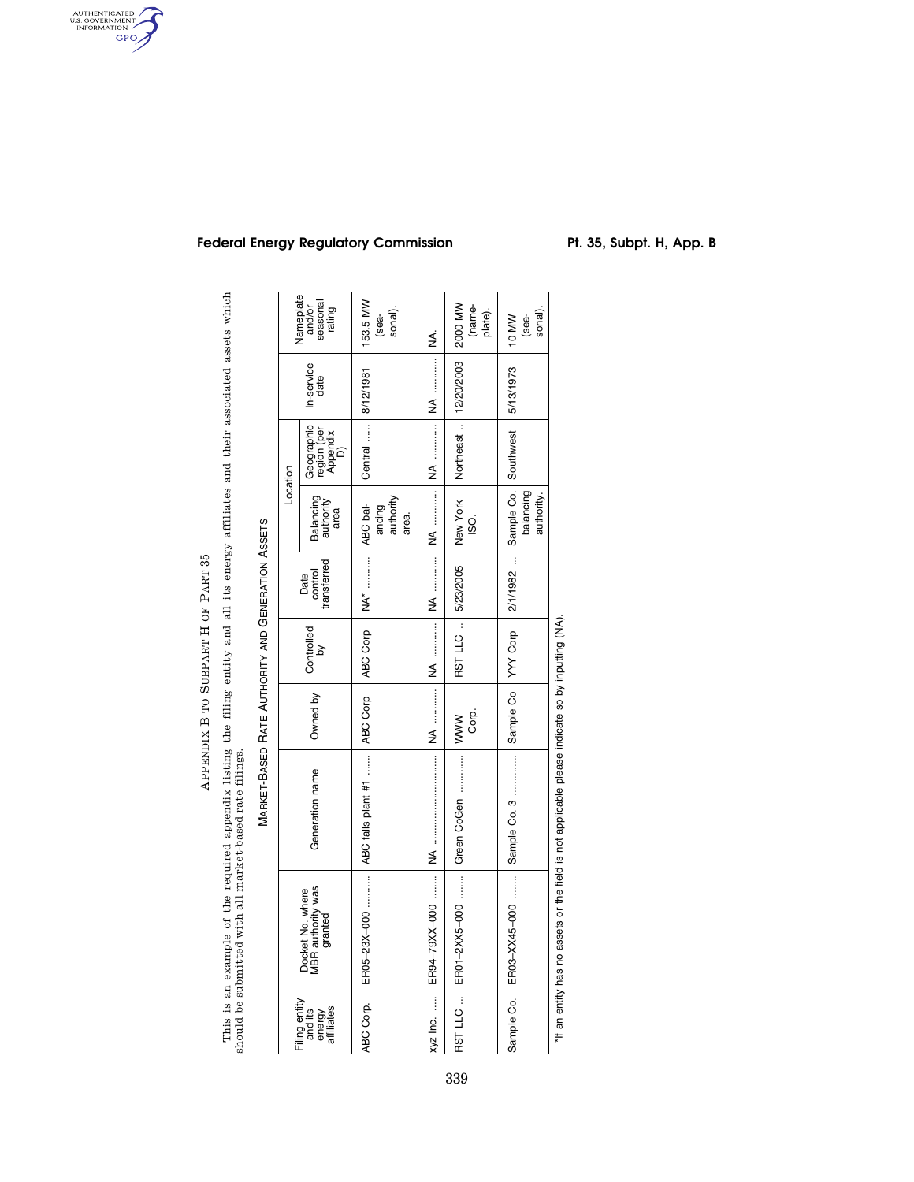APPENDIX B TO SUBPART H OF PART  $35\,$ PART 35 SUBPART H OF APPENDIX B TO

AUTHENTICATED<br>U.S. GOVERNMENT<br>INFORMATION<br>GPO

This is an example of the required appendix listing the filing entity and all its energy affiliates and their associated assets which<br>should be submitted with all market-based rate filings. This is an example of the required appendix listing the filing entity and all its energy affiliates and their associated assets which should be submitted with all market-based rate filings.

MARKET-BASED

RATE

AUTHORITY AND

**GENERATION** 

ASSETS

| Nameplate<br>and/or<br>seasonal<br>rating        |                                             | 153.5 MW<br>sonal).<br>sea-                                              | ≸          | 2000 MW<br>(name-<br>plate).     | sonal).<br>(sea-<br>10 MW                                                                             |
|--------------------------------------------------|---------------------------------------------|--------------------------------------------------------------------------|------------|----------------------------------|-------------------------------------------------------------------------------------------------------|
| In-service<br>date                               |                                             |                                                                          | <b>NA</b>  |                                  | 5/13/1973                                                                                             |
| Location                                         | Geographic<br>region (per<br>Appendix<br>D) | Central  8/12/1981                                                       |            | Northeast    12/20/2003          |                                                                                                       |
|                                                  | Balancing<br>authority<br>area              | authority<br>ancing<br>area.                                             |            | New York<br>ISO.                 | authority.<br>balancing                                                                               |
| Date<br>control<br>transferred                   |                                             |                                                                          |            |                                  |                                                                                                       |
| Controlled<br>by                                 |                                             |                                                                          | NA         | RST LLC    5/23/2005             |                                                                                                       |
| Owned by                                         |                                             |                                                                          |            | Corp.                            |                                                                                                       |
| Generation name                                  |                                             | ER05-23X-000   ABC falls plant #1   ABC Corp   ABC Corp   NA*   ABC bal- |            | ER01-2XX5-000  Green CoGen  IWWW |                                                                                                       |
| Docket No. where<br>MBR authority was<br>granted |                                             |                                                                          |            |                                  | Sample Co.   ER03-XX45-000   Sample Co. 3   Sample Co   YYY Corp   2/1/1982    Sample Co.   Southwest |
| Filing entity<br>and its<br>energy<br>affiliates |                                             | ABC Corp.                                                                | $xyz$ Inc. | RST LLC                          |                                                                                                       |

# Federal Energy Regulatory Commission Pt. 35, Subpt. H, App. B

\*If an entity has no assets or the field is not applicable please indicate so by inputting (NA).

\*If an entity has no assets or the field is not applicable please indicate so by inputting (NA).